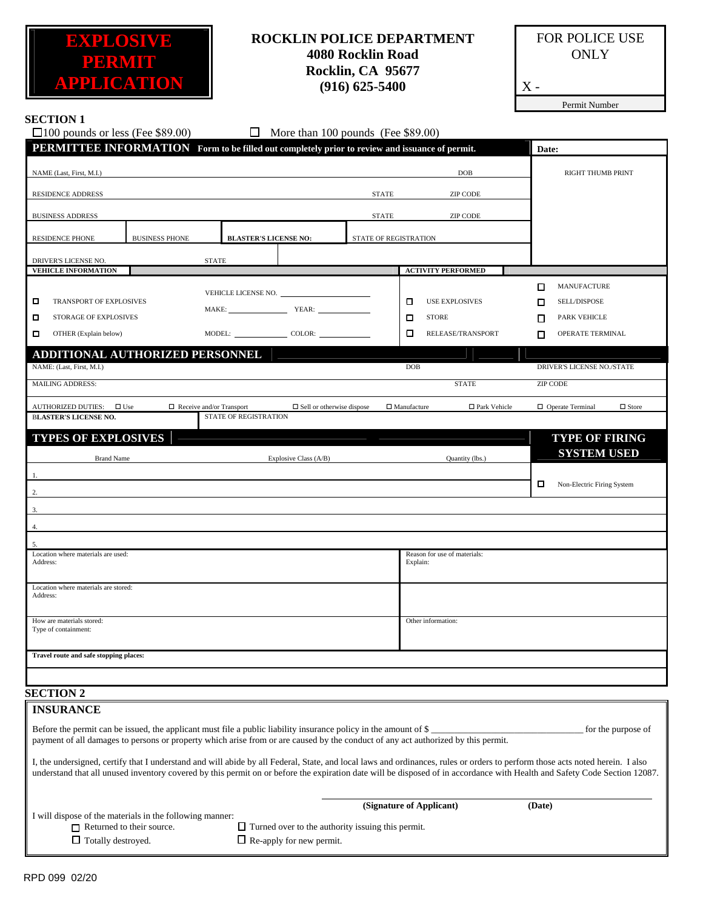

## **ROCKLIN POLICE DEPARTMENT 4080 Rocklin Road Rocklin, CA 95677 (916) 625-5400**

FOR POLICE USE **ONLY** 

Permit Number

 $\mathbf X$  -

| <b>SECTION 1</b><br>$\Box$ 100 pounds or less (Fee \$89.00)                                     |                                                          | $\Box$                                                                                                           | More than 100 pounds (Fee \$89.00) |                                                                                                                                   |                                                                                                                                                                                                                                                                                                                                                                                  |
|-------------------------------------------------------------------------------------------------|----------------------------------------------------------|------------------------------------------------------------------------------------------------------------------|------------------------------------|-----------------------------------------------------------------------------------------------------------------------------------|----------------------------------------------------------------------------------------------------------------------------------------------------------------------------------------------------------------------------------------------------------------------------------------------------------------------------------------------------------------------------------|
|                                                                                                 |                                                          | PERMITTEE INFORMATION Form to be filled out completely prior to review and issuance of permit.                   |                                    |                                                                                                                                   | Date:                                                                                                                                                                                                                                                                                                                                                                            |
| NAME (Last, First, M.I.)                                                                        |                                                          |                                                                                                                  |                                    | DOB                                                                                                                               | RIGHT THUMB PRINT                                                                                                                                                                                                                                                                                                                                                                |
| <b>RESIDENCE ADDRESS</b>                                                                        |                                                          |                                                                                                                  | <b>STATE</b>                       | <b>ZIP CODE</b>                                                                                                                   |                                                                                                                                                                                                                                                                                                                                                                                  |
|                                                                                                 |                                                          |                                                                                                                  |                                    |                                                                                                                                   |                                                                                                                                                                                                                                                                                                                                                                                  |
| <b>BUSINESS ADDRESS</b>                                                                         |                                                          |                                                                                                                  | <b>STATE</b>                       | <b>ZIP CODE</b>                                                                                                                   |                                                                                                                                                                                                                                                                                                                                                                                  |
| <b>RESIDENCE PHONE</b>                                                                          | <b>BUSINESS PHONE</b>                                    | <b>BLASTER'S LICENSE NO:</b>                                                                                     | STATE OF REGISTRATION              |                                                                                                                                   |                                                                                                                                                                                                                                                                                                                                                                                  |
| DRIVER'S LICENSE NO.<br><b>VEHICLE INFORMATION</b>                                              | <b>STATE</b>                                             |                                                                                                                  |                                    | <b>ACTIVITY PERFORMED</b>                                                                                                         |                                                                                                                                                                                                                                                                                                                                                                                  |
| □<br>TRANSPORT OF EXPLOSIVES<br><b>STORAGE OF EXPLOSIVES</b><br>□<br>О<br>OTHER (Explain below) |                                                          | MAKE: YEAR:<br>MODEL: COLOR: COLOR:                                                                              |                                    | о<br><b>USE EXPLOSIVES</b><br>□<br><b>STORE</b><br>□<br>RELEASE/TRANSPORT                                                         | MANUFACTURE<br>□<br><b>SELL/DISPOSE</b><br>Π<br><b>PARK VEHICLE</b><br>п<br>OPERATE TERMINAL<br>П                                                                                                                                                                                                                                                                                |
| NAME: (Last, First, M.I.)                                                                       | ADDITIONAL AUTHORIZED PERSONNEL                          |                                                                                                                  |                                    | <b>DOB</b>                                                                                                                        | DRIVER'S LICENSE NO./STATE                                                                                                                                                                                                                                                                                                                                                       |
| <b>MAILING ADDRESS:</b>                                                                         |                                                          |                                                                                                                  |                                    | <b>STATE</b>                                                                                                                      | <b>ZIP CODE</b>                                                                                                                                                                                                                                                                                                                                                                  |
| <b>AUTHORIZED DUTIES:</b><br>$\Box$ Use<br><b>BLASTER'S LICENSE NO.</b>                         | $\Box$ Receive and/or Transport                          | STATE OF REGISTRATION                                                                                            | $\Box$ Sell or otherwise dispose   | □ Park Vehicle<br>$\Box$ Manufacture                                                                                              | $\Box$ Operate Terminal<br>$\Box$ Store                                                                                                                                                                                                                                                                                                                                          |
| <b>TYPES OF EXPLOSIVES</b>                                                                      |                                                          |                                                                                                                  |                                    |                                                                                                                                   | <b>TYPE OF FIRING</b>                                                                                                                                                                                                                                                                                                                                                            |
| <b>Brand Name</b>                                                                               |                                                          | Explosive Class (A/B)                                                                                            |                                    | Quantity (lbs.)                                                                                                                   | <b>SYSTEM USED</b>                                                                                                                                                                                                                                                                                                                                                               |
| 2.<br>3.                                                                                        |                                                          |                                                                                                                  |                                    |                                                                                                                                   | □<br>Non-Electric Firing System                                                                                                                                                                                                                                                                                                                                                  |
| 4.                                                                                              |                                                          |                                                                                                                  |                                    |                                                                                                                                   |                                                                                                                                                                                                                                                                                                                                                                                  |
| 5.                                                                                              |                                                          |                                                                                                                  |                                    |                                                                                                                                   |                                                                                                                                                                                                                                                                                                                                                                                  |
| Location where materials are used:<br>Address:                                                  |                                                          |                                                                                                                  |                                    | Reason for use of materials:<br>Explain:                                                                                          |                                                                                                                                                                                                                                                                                                                                                                                  |
| Location where materials are stored:<br>Address:                                                |                                                          |                                                                                                                  |                                    |                                                                                                                                   |                                                                                                                                                                                                                                                                                                                                                                                  |
| How are materials stored:<br>Type of containment:                                               |                                                          |                                                                                                                  |                                    | Other information:                                                                                                                |                                                                                                                                                                                                                                                                                                                                                                                  |
| Travel route and safe stopping places:                                                          |                                                          |                                                                                                                  |                                    |                                                                                                                                   |                                                                                                                                                                                                                                                                                                                                                                                  |
| <b>SECTION 2</b>                                                                                |                                                          |                                                                                                                  |                                    |                                                                                                                                   |                                                                                                                                                                                                                                                                                                                                                                                  |
| <b>INSURANCE</b>                                                                                |                                                          | Before the permit can be issued, the applicant must file a public liability insurance policy in the amount of \$ |                                    | payment of all damages to persons or property which arise from or are caused by the conduct of any act authorized by this permit. | for the purpose of<br>I, the undersigned, certify that I understand and will abide by all Federal, State, and local laws and ordinances, rules or orders to perform those acts noted herein. I also<br>understand that all unused inventory covered by this permit on or before the expiration date will be disposed of in accordance with Health and Safety Code Section 12087. |
| $\Box$ Returned to their source.<br>$\Box$ Totally destroyed.                                   | I will dispose of the materials in the following manner: | $\Box$ Turned over to the authority issuing this permit.<br>$\Box$ Re-apply for new permit.                      |                                    | (Signature of Applicant)                                                                                                          | (Date)                                                                                                                                                                                                                                                                                                                                                                           |